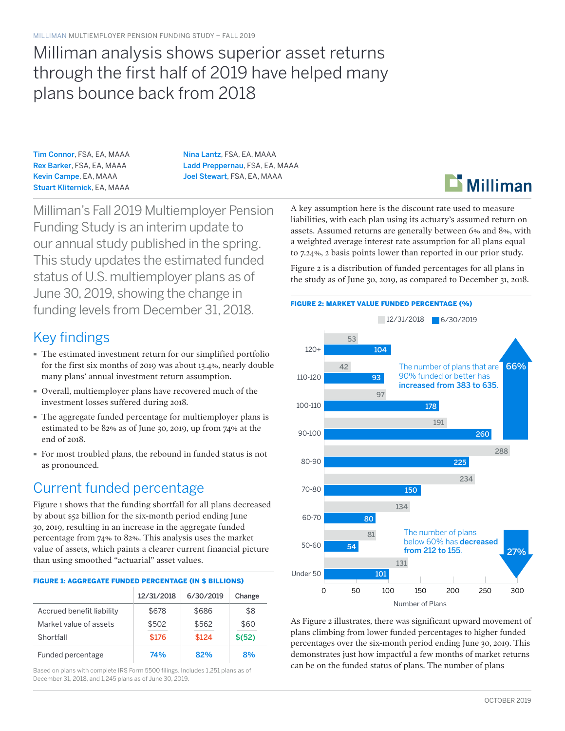# Milliman analysis shows superior asset returns through the first half of 2019 have helped many plans bounce back from 2018

Tim Connor, FSA, EA, MAAA Rex Barker, FSA, EA, MAAA Kevin Campe, EA, MAAA Stuart Kliternick, EA, MAAA Nina Lantz, FSA, EA, MAAA Ladd Preppernau, FSA, EA, MAAA Joel Stewart, FSA, EA, MAAA

Milliman's Fall 2019 Multiemployer Pension Funding Study is an interim update to our annual study published in the spring. This study updates the estimated funded status of U.S. multiemployer plans as of June 30, 2019, showing the change in funding levels from December 31, 2018.

## Key findings

- · The estimated investment return for our simplified portfolio for the first six months of 2019 was about 13.4%, nearly double many plans' annual investment return assumption.
- · Overall, multiemployer plans have recovered much of the investment losses suffered during 2018.
- · The aggregate funded percentage for multiemployer plans is estimated to be 82% as of June 30, 2019, up from 74% at the end of 2018.
- · For most troubled plans, the rebound in funded status is not as pronounced.

# Current funded percentage

Figure 1 shows that the funding shortfall for all plans decreased by about \$52 billion for the six-month period ending June 30, 2019, resulting in an increase in the aggregate funded percentage from 74% to 82%. This analysis uses the market value of assets, which paints a clearer current financial picture than using smoothed "actuarial" asset values.

| <b>FIGURE 1: AGGREGATE FUNDED PERCENTAGE (IN \$ BILLIONS)</b> |            |           |         |
|---------------------------------------------------------------|------------|-----------|---------|
|                                                               | 12/31/2018 | 6/30/2019 | Change  |
| Accrued benefit liability                                     | \$678      | \$686     | \$8     |
| Market value of assets                                        | \$502      | \$562     | \$60    |
| Shortfall                                                     | \$176      | \$124     | \$ (52) |
| Funded percentage                                             | 74%        | 82%       | 8%      |

Based on plans with complete IRS Form 5500 filings. Includes 1,251 plans as of December 31, 2018, and 1,245 plans as of June 30, 2019.

A key assumption here is the discount rate used to measure liabilities, with each plan using its actuary's assumed return on assets. Assumed returns are generally between 6% and 8%, with a weighted average interest rate assumption for all plans equal to 7.24%, 2 basis points lower than reported in our prior study.

Figure 2 is a distribution of funded percentages for all plans in the study as of June 30, 2019, as compared to December 31, 2018.



As Figure 2 illustrates, there was significant upward movement of plans climbing from lower funded percentages to higher funded percentages over the six-month period ending June 30, 2019. This demonstrates just how impactful a few months of market returns can be on the funded status of plans. The number of plans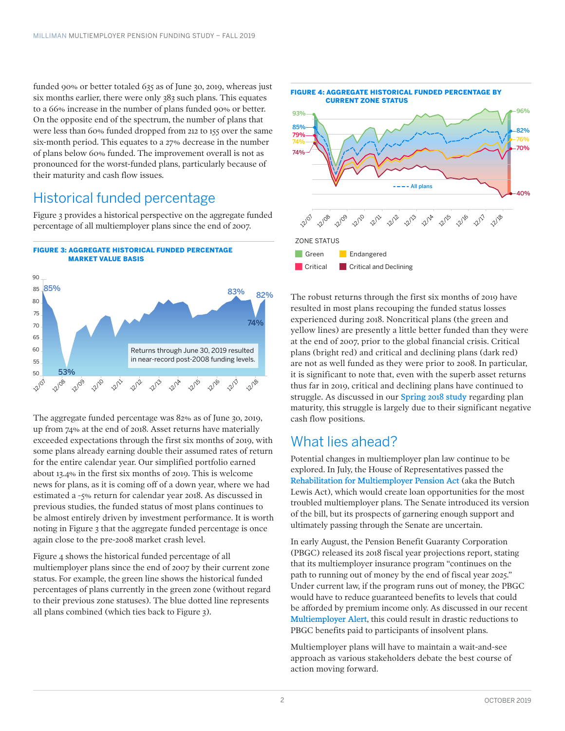funded 90% or better totaled 635 as of June 30, 2019, whereas just six months earlier, there were only 383 such plans. This equates to a 66% increase in the number of plans funded 90% or better. On the opposite end of the spectrum, the number of plans that were less than 60% funded dropped from 212 to 155 over the same six-month period. This equates to a 27% decrease in the number of plans below 60% funded. The improvement overall is not as pronounced for the worst-funded plans, particularly because of their maturity and cash flow issues.

### Historical funded percentage

Figure 3 provides a historical perspective on the aggregate funded percentage of all multiemployer plans since the end of 2007.



The aggregate funded percentage was 82% as of June 30, 2019, up from 74% at the end of 2018. Asset returns have materially exceeded expectations through the first six months of 2019, with some plans already earning double their assumed rates of return for the entire calendar year. Our simplified portfolio earned about 13.4% in the first six months of 2019. This is welcome news for plans, as it is coming off of a down year, where we had estimated a -5% return for calendar year 2018. As discussed in previous studies, the funded status of most plans continues to be almost entirely driven by investment performance. It is worth noting in Figure 3 that the aggregate funded percentage is once again close to the pre-2008 market crash level.

Figure 4 shows the historical funded percentage of all multiemployer plans since the end of 2007 by their current zone status. For example, the green line shows the historical funded percentages of plans currently in the green zone (without regard to their previous zone statuses). The blue dotted line represents all plans combined (which ties back to Figure 3).



The robust returns through the first six months of 2019 have resulted in most plans recouping the funded status losses experienced during 2018. Noncritical plans (the green and yellow lines) are presently a little better funded than they were at the end of 2007, prior to the global financial crisis. Critical plans (bright red) and critical and declining plans (dark red) are not as well funded as they were prior to 2008. In particular, it is significant to note that, even with the superb asset returns thus far in 2019, critical and declining plans have continued to struggle. As discussed in our [Spring 2018 study](http://us.milliman.com/uploadedFiles/insight/Periodicals/multiemployer-pfs/multiemployer-funding-study-spring-2018.pdf) regarding plan maturity, this struggle is largely due to their significant negative cash flow positions.

#### What lies ahead?

Potential changes in multiemployer plan law continue to be explored. In July, the House of Representatives passed the [Rehabilitation for Multiemployer Pension Act](http://assets.milliman.com/ektron/2935MEB_MultiEmployer%20Alert_20180726.pdf) (aka the Butch Lewis Act), which would create loan opportunities for the most troubled multiemployer plans. The Senate introduced its version of the bill, but its prospects of garnering enough support and ultimately passing through the Senate are uncertain.

In early August, the Pension Benefit Guaranty Corporation (PBGC) released its 2018 fiscal year projections report, stating that its multiemployer insurance program "continues on the path to running out of money by the end of fiscal year 2025." Under current law, if the program runs out of money, the PBGC would have to reduce guaranteed benefits to levels that could be afforded by premium income only. As discussed in our recent [Multiemployer Alert](http://assets.milliman.com/ektron/PBGC-multiemployer-path-insolvency.pdf), this could result in drastic reductions to PBGC benefits paid to participants of insolvent plans.

Multiemployer plans will have to maintain a wait-and-see approach as various stakeholders debate the best course of action moving forward.